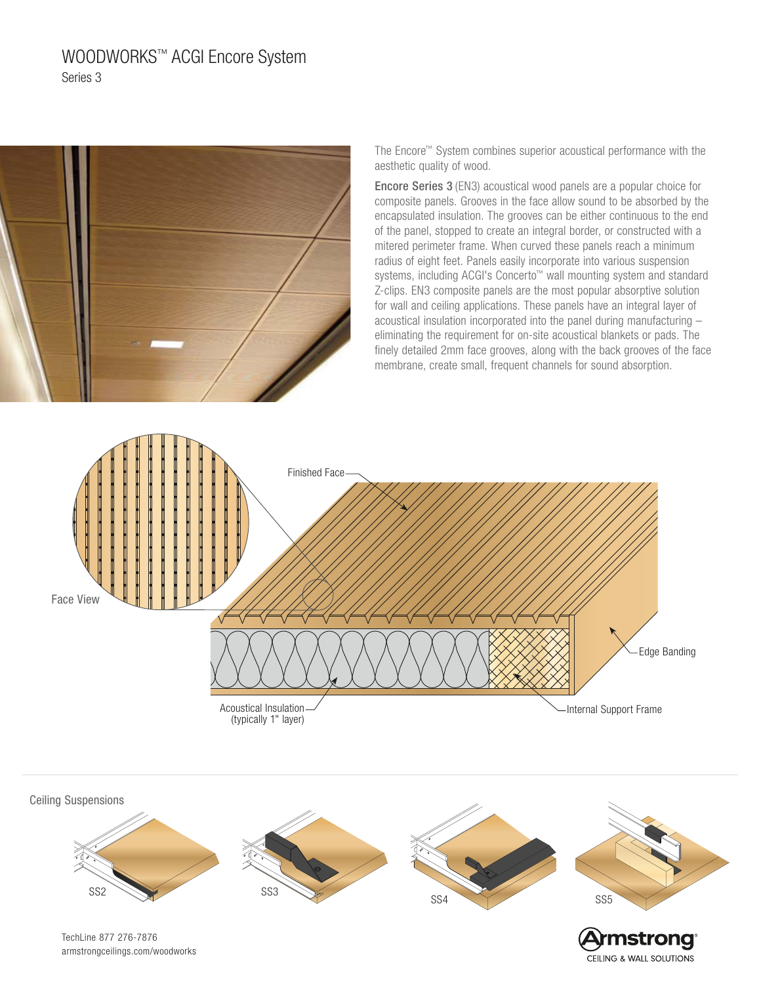# WOODWORKS™ ACGI Encore System Series 3



The Encore™ System combines superior acoustical performance with the aesthetic quality of wood.

Encore Series 3 (EN3) acoustical wood panels are a popular choice for composite panels. Grooves in the face allow sound to be absorbed by the encapsulated insulation. The grooves can be either continuous to the end of the panel, stopped to create an integral border, or constructed with a mitered perimeter frame. When curved these panels reach a minimum radius of eight feet. Panels easily incorporate into various suspension systems, including ACGI's Concerto™ wall mounting system and standard Z-clips. EN3 composite panels are the most popular absorptive solution for wall and ceiling applications. These panels have an integral layer of acoustical insulation incorporated into the panel during manufacturing – eliminating the requirement for on-site acoustical blankets or pads. The finely detailed 2mm face grooves, along with the back grooves of the face membrane, create small, frequent channels for sound absorption.

CEILING & WALL SOLUTIONS





armstrongceilings.com/woodworks